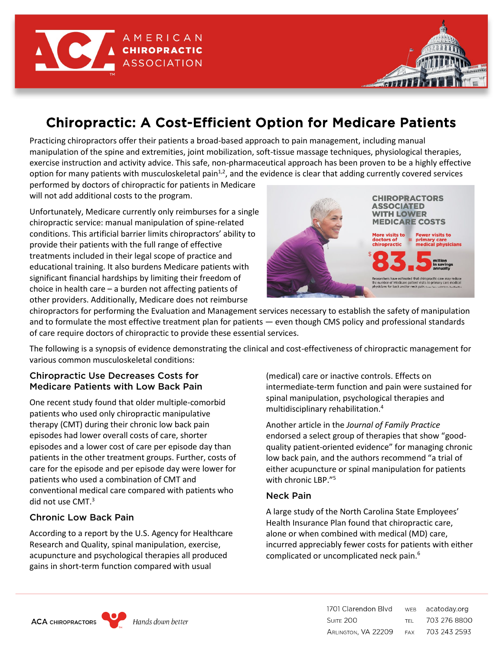

# Chiropractic: A Cost-Efficient Option for Medicare Patients

Practicing chiropractors offer their patients a broad-based approach to pain management, including manual manipulation of the spine and extremities, joint mobilization, soft-tissue massage techniques, physiological therapies, exercise instruction and activity advice. This safe, non-pharmaceutical approach has been proven to be a highly effective option for many patients with musculoskeletal pain $1,2$ , and the evidence is clear that adding currently covered services performed by doctors of chiropractic for patients in Medicare

will not add additional costs to the program.

Unfortunately, Medicare currently only reimburses for a single chiropractic service: manual manipulation of spine-related conditions. This artificial barrier limits chiropractors' ability to provide their patients with the full range of effective treatments included in their legal scope of practice and educational training. It also burdens Medicare patients with significant financial hardships by limiting their freedom of choice in health care – a burden not affecting patients of other providers. Additionally, Medicare does not reimburse



chiropractors for performing the Evaluation and Management services necessary to establish the safety of manipulation and to formulate the most effective treatment plan for patients — even though CMS policy and professional standards of care require doctors of chiropractic to provide these essential services.

The following is a synopsis of evidence demonstrating the clinical and cost-effectiveness of chiropractic management for various common musculoskeletal conditions:

#### Chiropractic Use Decreases Costs for Medicare Patients with Low Back Pain

One recent study found that older multiple-comorbid patients who used only chiropractic manipulative therapy (CMT) during their chronic low back pain episodes had lower overall costs of care, shorter episodes and a lower cost of care per episode day than patients in the other treatment groups. Further, costs of care for the episode and per episode day were lower for patients who used a combination of CMT and conventional medical care compared with patients who did not use CMT.<sup>3</sup>

## Chronic Low Back Pain

According to a report by the U.S. Agency for Healthcare Research and Quality, spinal manipulation, exercise, acupuncture and psychological therapies all produced gains in short-term function compared with usual

(medical) care or inactive controls. Effects on intermediate-term function and pain were sustained for spinal manipulation, psychological therapies and multidisciplinary rehabilitation.4

Another article in the *Journal of Family Practice* endorsed a select group of therapies that show "goodquality patient-oriented evidence" for managing chronic low back pain, and the authors recommend "a trial of either acupuncture or spinal manipulation for patients with chronic LBP."5

#### Neck Pain

A large study of the North Carolina State Employees' Health Insurance Plan found that chiropractic care, alone or when combined with medical (MD) care, incurred appreciably fewer costs for patients with either complicated or uncomplicated neck pain.6